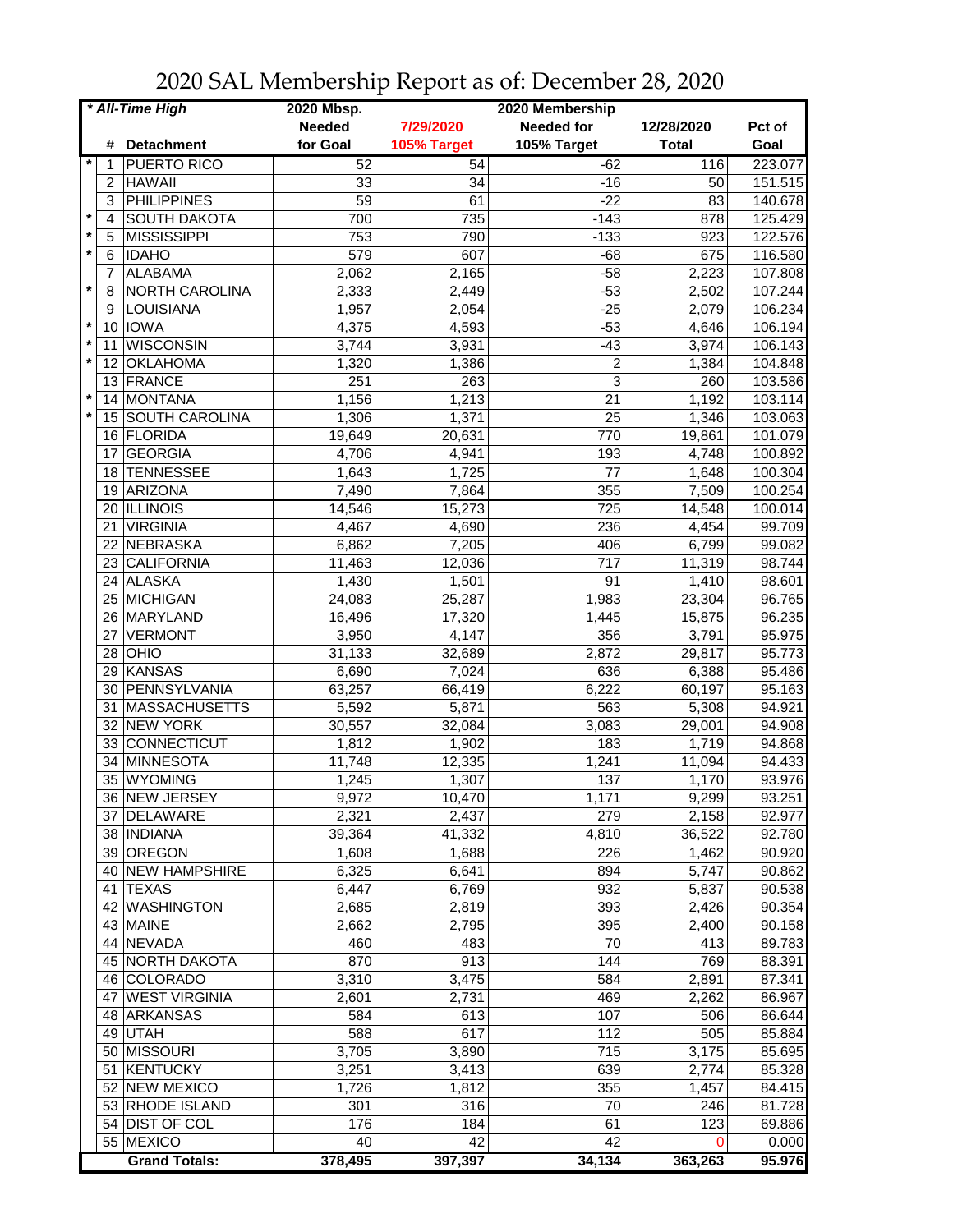| * All-Time High |                |                               | 2020 Mbsp.      |                 | 2020 Membership   |                    |         |
|-----------------|----------------|-------------------------------|-----------------|-----------------|-------------------|--------------------|---------|
|                 |                |                               | <b>Needed</b>   | 7/29/2020       | <b>Needed for</b> | 12/28/2020         | Pct of  |
|                 | #              | <b>Detachment</b>             | for Goal        | 105% Target     | 105% Target       | <b>Total</b>       | Goal    |
| *               | 1              | PUERTO RICO                   | 52              | 54              | $-62$             | 116                | 223.077 |
|                 | $\overline{2}$ | <b>HAWAII</b>                 | 33              | 34              | $-16$             | 50                 | 151.515 |
|                 | 3              | <b>PHILIPPINES</b>            | 59              | 61              | $-22$             | 83                 | 140.678 |
| $\star$         | 4              | <b>SOUTH DAKOTA</b>           | 700             | 735             | $-143$            | 878                | 125.429 |
| $\star$         | 5              | <b>MISSISSIPPI</b>            | 753             | 790             | $-133$            | 923                | 122.576 |
| $\star$         | 6              | <b>IDAHO</b>                  | 579             | 607             | $-68$             | 675                | 116.580 |
|                 | 7              | <b>ALABAMA</b>                | 2,062           | 2,165           | $-58$             | 2,223              | 107.808 |
| $\star$         | 8              | NORTH CAROLINA                | 2,333           | 2,449           | $-53$             | 2,502              | 107.244 |
|                 | 9              | LOUISIANA                     | 1,957           | 2,054           | $-25$             | 2,079              | 106.234 |
| $\star$         | 10             | <b>IOWA</b>                   | 4,375           | 4,593           | $-53$             | 4,646              | 106.194 |
| $\star$         | 11             | <b>WISCONSIN</b>              | 3,744           | 3,931           | $-43$             | 3,974              | 106.143 |
| $\star$         | 12             | <b>OKLAHOMA</b>               | 1,320           | 1,386           | $\overline{c}$    | 1,384              | 104.848 |
|                 | 13             | FRANCE                        | 251             | 263             | 3                 | 260                | 103.586 |
| $\star$         | 14             | <b>MONTANA</b>                | 1,156           | 1,213           | 21                | 1,192              | 103.114 |
| $\star$         |                | 15 SOUTH CAROLINA             | 1,306           | 1,371           | 25                | 1,346              | 103.063 |
|                 |                | 16 FLORIDA                    | 19,649          | 20,631          | 770               | 19,861             | 101.079 |
|                 | 17             | <b>GEORGIA</b>                | 4,706           | 4,941           | 193               | 4,748              | 100.892 |
|                 | 18             | <b>TENNESSEE</b>              | 1,643           | 1,725           | 77                | 1,648              | 100.304 |
|                 | 19             | ARIZONA                       | 7,490           | 7,864           | 355               | 7,509              | 100.254 |
|                 | 20             | <b>ILLINOIS</b>               | 14,546          | 15,273          | 725               | 14,548             | 100.014 |
|                 | 21             | <b>VIRGINIA</b>               | 4,467           | 4,690           | 236               | 4,454              | 99.709  |
|                 | 22             | NEBRASKA                      | 6,862           | 7,205           | 406               | 6,799              | 99.082  |
|                 |                | CALIFORNIA                    |                 |                 | $\overline{717}$  | 11,319             | 98.744  |
|                 | 23             | 24 ALASKA                     | 11,463<br>1,430 | 12,036<br>1,501 | $\overline{91}$   | 1,410              | 98.601  |
|                 |                | 25 MICHIGAN                   |                 |                 | 1,983             |                    |         |
|                 |                |                               | 24,083          | 25,287          |                   | 23,304             | 96.765  |
|                 |                | 26 MARYLAND<br><b>VERMONT</b> | 16,496          | 17,320          | 1,445<br>356      | 15,875             | 96.235  |
|                 | 27             |                               | 3,950           | 4,147           |                   | 3,791              | 95.975  |
|                 |                | $28$ OHIO                     | 31,133          | 32,689          | 2,872             | 29,817             | 95.773  |
|                 | 29             | KANSAS                        | 6,690           | 7,024           | 636               | 6,388              | 95.486  |
|                 | 30             | PENNSYLVANIA                  | 63,257          | 66,419          | 6,222             | 60,197             | 95.163  |
|                 | 31             | MASSACHUSETTS                 | 5,592           | 5,871           | 563               | 5,308              | 94.921  |
|                 |                | 32 NEW YORK                   | 30,557          | 32,084          | 3,083             | 29,001             | 94.908  |
|                 | 33             | CONNECTICUT                   | 1,812           | 1,902           | 183               | $\overline{1,719}$ | 94.868  |
|                 | 34             | MINNESOTA                     | 11,748          | 12,335          | 1,241             | 11,094             | 94.433  |
|                 | 35             | WYOMING                       | 1,245           | 1,307           | 137               | 1,170              | 93.976  |
|                 |                | 36 INEW JERSEY                | 9,972           | 10,470          | 1,171             | 9,299              | 93.251  |
|                 |                | 37 DELAWARE                   | 2,321           | 2,437           | 279               | 2,158              | 92.977  |
|                 |                | 38 INDIANA                    | 39,364          | 41,332          | 4,810             | 36,522             | 92.780  |
|                 |                | 39 OREGON                     | 1,608           | 1,688           | 226               | 1,462              | 90.920  |
|                 |                | 40 NEW HAMPSHIRE              | 6,325           | 6,641           | 894               | 5,747              | 90.862  |
|                 |                | 41 TEXAS                      | 6,447           | 6,769           | 932               | 5,837              | 90.538  |
|                 |                | 42 WASHINGTON                 | 2,685           | 2,819           | 393               | 2,426              | 90.354  |
|                 |                | 43 MAINE                      | 2,662           | 2,795           | 395               | 2,400              | 90.158  |
|                 |                | 44 NEVADA                     | 460             | 483             | 70                | 413                | 89.783  |
|                 |                | 45 NORTH DAKOTA               | 870             | 913             | 144               | 769                | 88.391  |
|                 |                | 46 COLORADO                   | 3,310           | 3,475           | 584               | 2,891              | 87.341  |
|                 |                | 47 WEST VIRGINIA              | 2,601           | 2,731           | 469               | 2,262              | 86.967  |
|                 |                | 48 ARKANSAS                   | 584             | 613             | 107               | 506                | 86.644  |
|                 |                | 49 UTAH                       | 588             | 617             | 112               | 505                | 85.884  |
|                 |                | 50 MISSOURI                   | 3,705           | 3,890           | 715               | 3,175              | 85.695  |
|                 |                | 51 KENTUCKY                   | 3,251           | 3,413           | 639               | 2,774              | 85.328  |
|                 |                | 52 NEW MEXICO                 | 1,726           | 1,812           | 355               | 1,457              | 84.415  |
|                 |                | 53 RHODE ISLAND               | 301             | 316             | 70                | 246                | 81.728  |
|                 |                | 54 DIST OF COL                | 176             | 184             | 61                | 123                | 69.886  |
|                 |                | 55 MEXICO                     | 40              | 42              | 42                | 0                  | 0.000   |
|                 |                | <b>Grand Totals:</b>          | 378,495         | 397,397         | 34,134            | 363,263            | 95.976  |

2020 SAL Membership Report as of: December 28, 2020